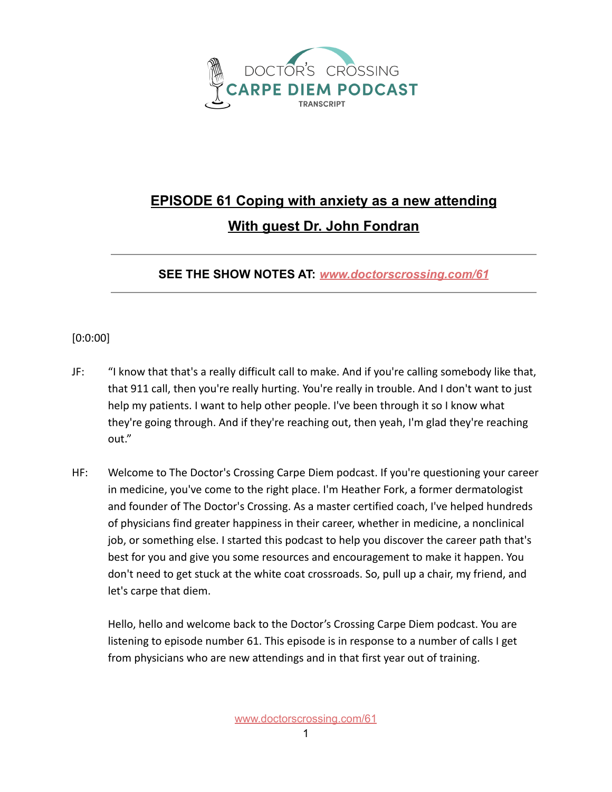

## **EPISODE 61 Coping with anxiety as a new attending With guest Dr. John Fondran**

## **SEE THE SHOW NOTES AT:** *[www.doctorscrossing.com/61](http://www.doctorscrossing.com/61)*

## [0:0:00]

- JF: "I know that that's a really difficult call to make. And if you're calling somebody like that, that 911 call, then you're really hurting. You're really in trouble. And I don't want to just help my patients. I want to help other people. I've been through it so I know what they're going through. And if they're reaching out, then yeah, I'm glad they're reaching out."
- HF: Welcome to The Doctor's Crossing Carpe Diem podcast. If you're questioning your career in medicine, you've come to the right place. I'm Heather Fork, a former dermatologist and founder of The Doctor's Crossing. As a master certified coach, I've helped hundreds of physicians find greater happiness in their career, whether in medicine, a nonclinical job, or something else. I started this podcast to help you discover the career path that's best for you and give you some resources and encouragement to make it happen. You don't need to get stuck at the white coat crossroads. So, pull up a chair, my friend, and let's carpe that diem.

Hello, hello and welcome back to the Doctor's Crossing Carpe Diem podcast. You are listening to episode number 61. This episode is in response to a number of calls I get from physicians who are new attendings and in that first year out of training.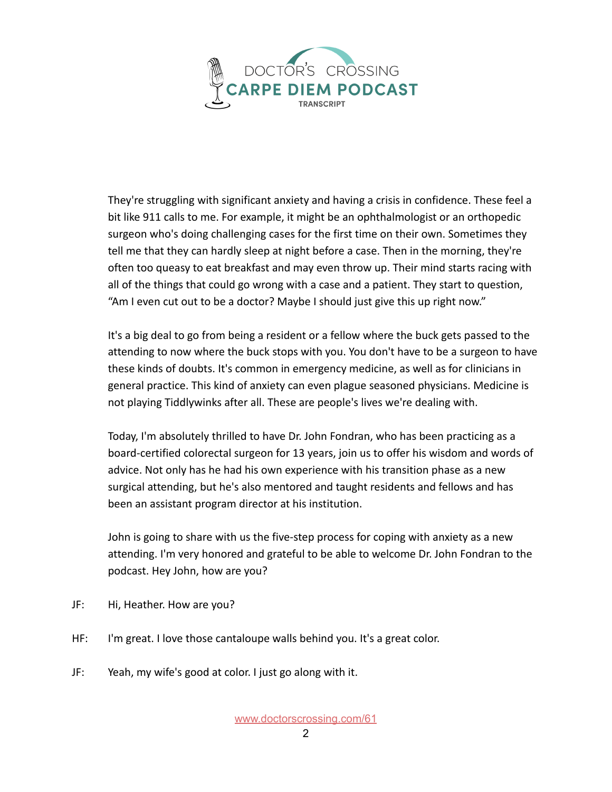

They're struggling with significant anxiety and having a crisis in confidence. These feel a bit like 911 calls to me. For example, it might be an ophthalmologist or an orthopedic surgeon who's doing challenging cases for the first time on their own. Sometimes they tell me that they can hardly sleep at night before a case. Then in the morning, they're often too queasy to eat breakfast and may even throw up. Their mind starts racing with all of the things that could go wrong with a case and a patient. They start to question, "Am I even cut out to be a doctor? Maybe I should just give this up right now."

It's a big deal to go from being a resident or a fellow where the buck gets passed to the attending to now where the buck stops with you. You don't have to be a surgeon to have these kinds of doubts. It's common in emergency medicine, as well as for clinicians in general practice. This kind of anxiety can even plague seasoned physicians. Medicine is not playing Tiddlywinks after all. These are people's lives we're dealing with.

Today, I'm absolutely thrilled to have Dr. John Fondran, who has been practicing as a board-certified colorectal surgeon for 13 years, join us to offer his wisdom and words of advice. Not only has he had his own experience with his transition phase as a new surgical attending, but he's also mentored and taught residents and fellows and has been an assistant program director at his institution.

John is going to share with us the five-step process for coping with anxiety as a new attending. I'm very honored and grateful to be able to welcome Dr. John Fondran to the podcast. Hey John, how are you?

- JF: Hi, Heather. How are you?
- HF: I'm great. I love those cantaloupe walls behind you. It's a great color.
- JF: Yeah, my wife's good at color. I just go along with it.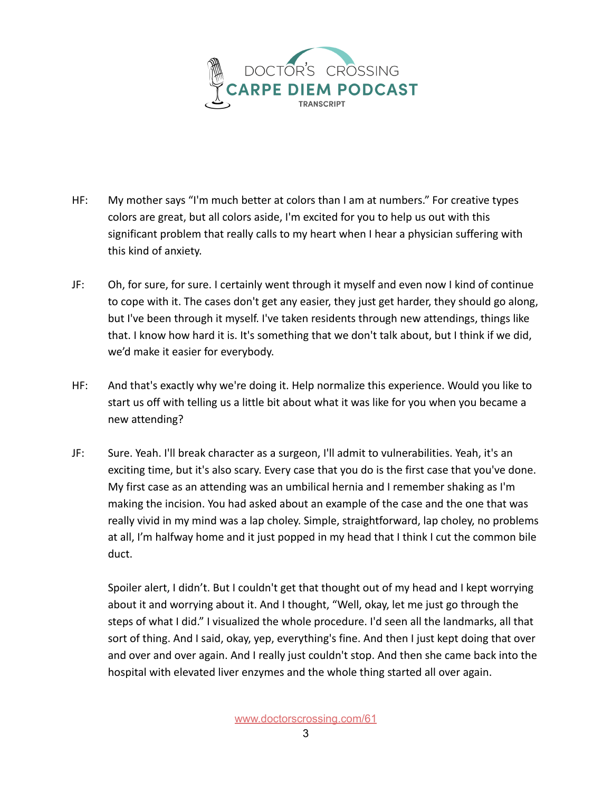

- HF: My mother says "I'm much better at colors than I am at numbers." For creative types colors are great, but all colors aside, I'm excited for you to help us out with this significant problem that really calls to my heart when I hear a physician suffering with this kind of anxiety.
- JF: Oh, for sure, for sure. I certainly went through it myself and even now I kind of continue to cope with it. The cases don't get any easier, they just get harder, they should go along, but I've been through it myself. I've taken residents through new attendings, things like that. I know how hard it is. It's something that we don't talk about, but I think if we did, we'd make it easier for everybody.
- HF: And that's exactly why we're doing it. Help normalize this experience. Would you like to start us off with telling us a little bit about what it was like for you when you became a new attending?
- JF: Sure. Yeah. I'll break character as a surgeon, I'll admit to vulnerabilities. Yeah, it's an exciting time, but it's also scary. Every case that you do is the first case that you've done. My first case as an attending was an umbilical hernia and I remember shaking as I'm making the incision. You had asked about an example of the case and the one that was really vivid in my mind was a lap choley. Simple, straightforward, lap choley, no problems at all, I'm halfway home and it just popped in my head that I think I cut the common bile duct.

Spoiler alert, I didn't. But I couldn't get that thought out of my head and I kept worrying about it and worrying about it. And I thought, "Well, okay, let me just go through the steps of what I did." I visualized the whole procedure. I'd seen all the landmarks, all that sort of thing. And I said, okay, yep, everything's fine. And then I just kept doing that over and over and over again. And I really just couldn't stop. And then she came back into the hospital with elevated liver enzymes and the whole thing started all over again.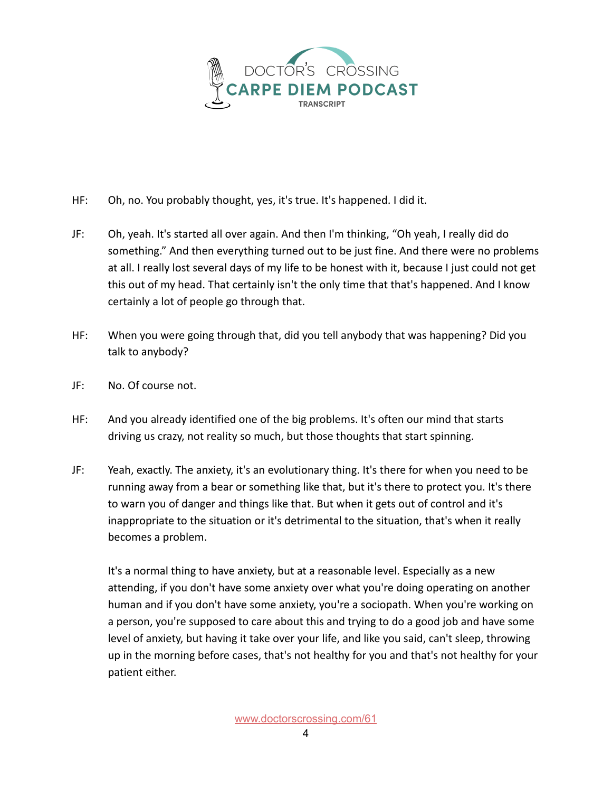

- HF: Oh, no. You probably thought, yes, it's true. It's happened. I did it.
- JF: Oh, yeah. It's started all over again. And then I'm thinking, "Oh yeah, I really did do something." And then everything turned out to be just fine. And there were no problems at all. I really lost several days of my life to be honest with it, because I just could not get this out of my head. That certainly isn't the only time that that's happened. And I know certainly a lot of people go through that.
- HF: When you were going through that, did you tell anybody that was happening? Did you talk to anybody?
- JF: No. Of course not.
- HF: And you already identified one of the big problems. It's often our mind that starts driving us crazy, not reality so much, but those thoughts that start spinning.
- JF: Yeah, exactly. The anxiety, it's an evolutionary thing. It's there for when you need to be running away from a bear or something like that, but it's there to protect you. It's there to warn you of danger and things like that. But when it gets out of control and it's inappropriate to the situation or it's detrimental to the situation, that's when it really becomes a problem.

It's a normal thing to have anxiety, but at a reasonable level. Especially as a new attending, if you don't have some anxiety over what you're doing operating on another human and if you don't have some anxiety, you're a sociopath. When you're working on a person, you're supposed to care about this and trying to do a good job and have some level of anxiety, but having it take over your life, and like you said, can't sleep, throwing up in the morning before cases, that's not healthy for you and that's not healthy for your patient either.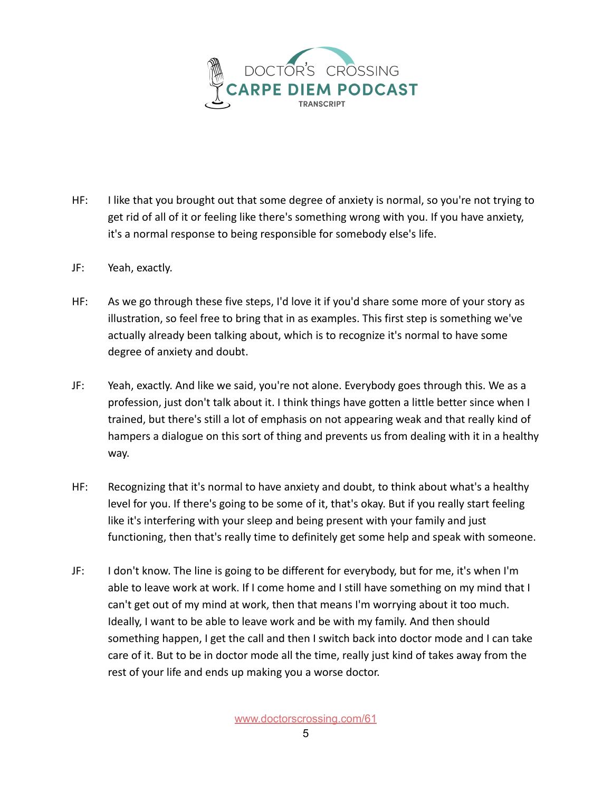

- HF: I like that you brought out that some degree of anxiety is normal, so you're not trying to get rid of all of it or feeling like there's something wrong with you. If you have anxiety, it's a normal response to being responsible for somebody else's life.
- JF: Yeah, exactly.
- HF: As we go through these five steps, I'd love it if you'd share some more of your story as illustration, so feel free to bring that in as examples. This first step is something we've actually already been talking about, which is to recognize it's normal to have some degree of anxiety and doubt.
- JF: Yeah, exactly. And like we said, you're not alone. Everybody goes through this. We as a profession, just don't talk about it. I think things have gotten a little better since when I trained, but there's still a lot of emphasis on not appearing weak and that really kind of hampers a dialogue on this sort of thing and prevents us from dealing with it in a healthy way.
- HF: Recognizing that it's normal to have anxiety and doubt, to think about what's a healthy level for you. If there's going to be some of it, that's okay. But if you really start feeling like it's interfering with your sleep and being present with your family and just functioning, then that's really time to definitely get some help and speak with someone.
- JF: I don't know. The line is going to be different for everybody, but for me, it's when I'm able to leave work at work. If I come home and I still have something on my mind that I can't get out of my mind at work, then that means I'm worrying about it too much. Ideally, I want to be able to leave work and be with my family. And then should something happen, I get the call and then I switch back into doctor mode and I can take care of it. But to be in doctor mode all the time, really just kind of takes away from the rest of your life and ends up making you a worse doctor.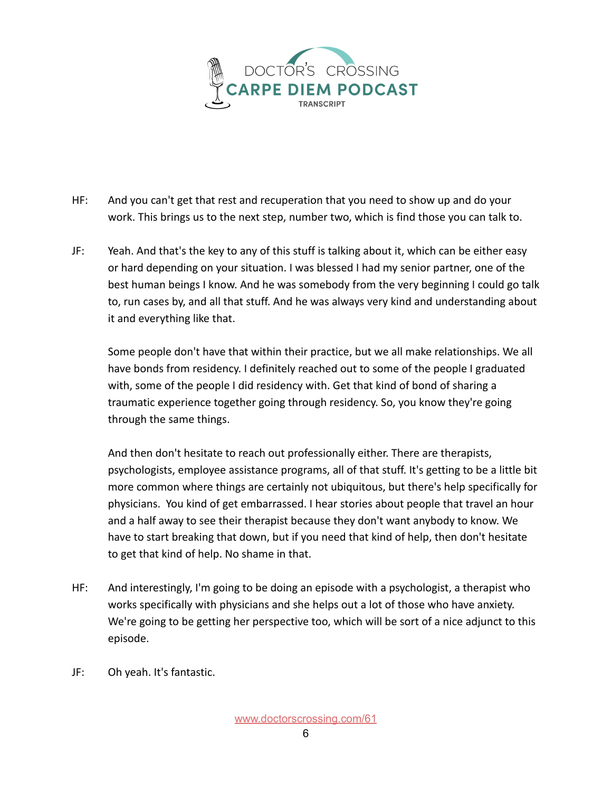

- HF: And you can't get that rest and recuperation that you need to show up and do your work. This brings us to the next step, number two, which is find those you can talk to.
- JF: Yeah. And that's the key to any of this stuff is talking about it, which can be either easy or hard depending on your situation. I was blessed I had my senior partner, one of the best human beings I know. And he was somebody from the very beginning I could go talk to, run cases by, and all that stuff. And he was always very kind and understanding about it and everything like that.

Some people don't have that within their practice, but we all make relationships. We all have bonds from residency. I definitely reached out to some of the people I graduated with, some of the people I did residency with. Get that kind of bond of sharing a traumatic experience together going through residency. So, you know they're going through the same things.

And then don't hesitate to reach out professionally either. There are therapists, psychologists, employee assistance programs, all of that stuff. It's getting to be a little bit more common where things are certainly not ubiquitous, but there's help specifically for physicians. You kind of get embarrassed. I hear stories about people that travel an hour and a half away to see their therapist because they don't want anybody to know. We have to start breaking that down, but if you need that kind of help, then don't hesitate to get that kind of help. No shame in that.

- HF: And interestingly, I'm going to be doing an episode with a psychologist, a therapist who works specifically with physicians and she helps out a lot of those who have anxiety. We're going to be getting her perspective too, which will be sort of a nice adjunct to this episode.
- JF: Oh yeah. It's fantastic.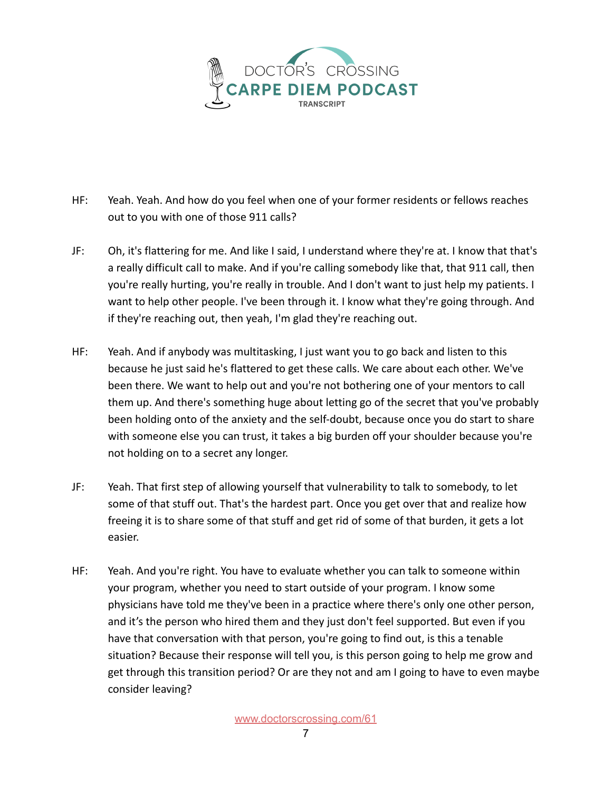

- HF: Yeah. Yeah. And how do you feel when one of your former residents or fellows reaches out to you with one of those 911 calls?
- JF: Oh, it's flattering for me. And like I said, I understand where they're at. I know that that's a really difficult call to make. And if you're calling somebody like that, that 911 call, then you're really hurting, you're really in trouble. And I don't want to just help my patients. I want to help other people. I've been through it. I know what they're going through. And if they're reaching out, then yeah, I'm glad they're reaching out.
- HF: Yeah. And if anybody was multitasking, I just want you to go back and listen to this because he just said he's flattered to get these calls. We care about each other. We've been there. We want to help out and you're not bothering one of your mentors to call them up. And there's something huge about letting go of the secret that you've probably been holding onto of the anxiety and the self-doubt, because once you do start to share with someone else you can trust, it takes a big burden off your shoulder because you're not holding on to a secret any longer.
- JF: Yeah. That first step of allowing yourself that vulnerability to talk to somebody, to let some of that stuff out. That's the hardest part. Once you get over that and realize how freeing it is to share some of that stuff and get rid of some of that burden, it gets a lot easier.
- HF: Yeah. And you're right. You have to evaluate whether you can talk to someone within your program, whether you need to start outside of your program. I know some physicians have told me they've been in a practice where there's only one other person, and it's the person who hired them and they just don't feel supported. But even if you have that conversation with that person, you're going to find out, is this a tenable situation? Because their response will tell you, is this person going to help me grow and get through this transition period? Or are they not and am I going to have to even maybe consider leaving?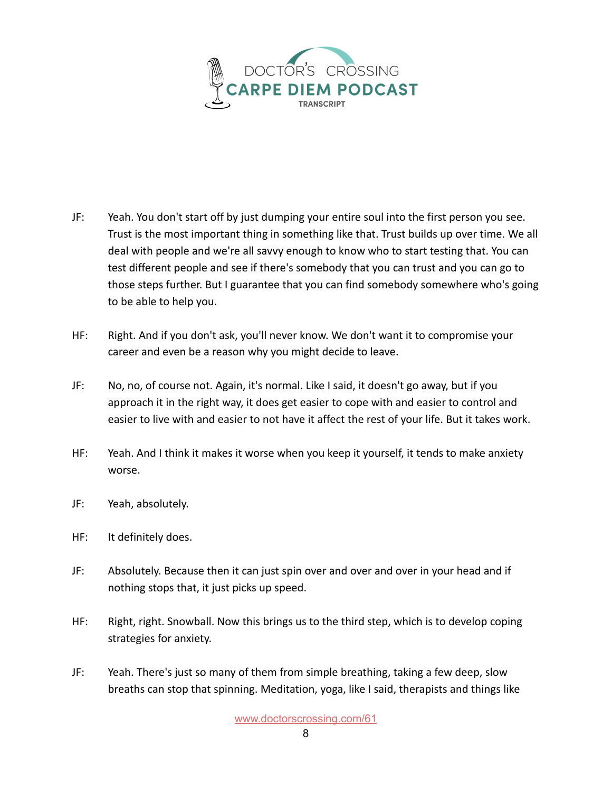

- JF: Yeah. You don't start off by just dumping your entire soul into the first person you see. Trust is the most important thing in something like that. Trust builds up over time. We all deal with people and we're all savvy enough to know who to start testing that. You can test different people and see if there's somebody that you can trust and you can go to those steps further. But I guarantee that you can find somebody somewhere who's going to be able to help you.
- HF: Right. And if you don't ask, you'll never know. We don't want it to compromise your career and even be a reason why you might decide to leave.
- JF: No, no, of course not. Again, it's normal. Like I said, it doesn't go away, but if you approach it in the right way, it does get easier to cope with and easier to control and easier to live with and easier to not have it affect the rest of your life. But it takes work.
- HF: Yeah. And I think it makes it worse when you keep it yourself, it tends to make anxiety worse.
- JF: Yeah, absolutely.
- HF: It definitely does.
- JF: Absolutely. Because then it can just spin over and over and over in your head and if nothing stops that, it just picks up speed.
- HF: Right, right. Snowball. Now this brings us to the third step, which is to develop coping strategies for anxiety.
- JF: Yeah. There's just so many of them from simple breathing, taking a few deep, slow breaths can stop that spinning. Meditation, yoga, like I said, therapists and things like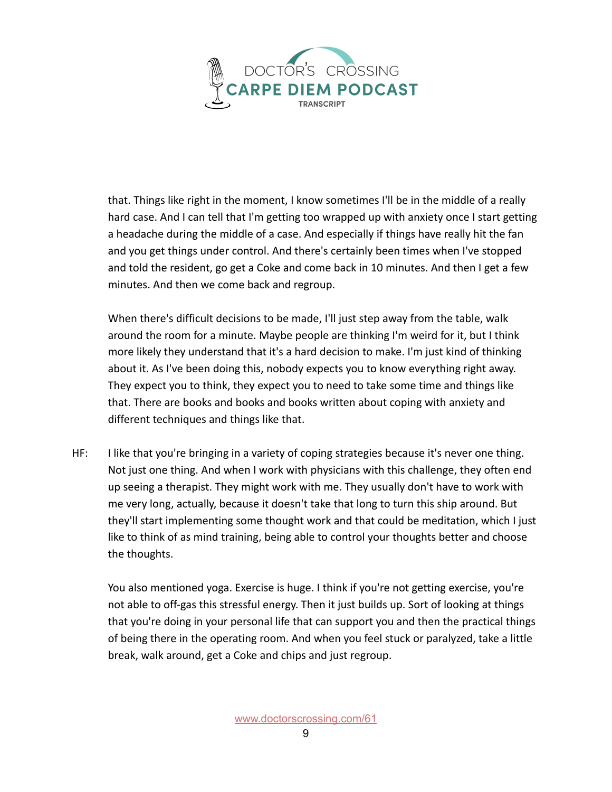

that. Things like right in the moment, I know sometimes I'll be in the middle of a really hard case. And I can tell that I'm getting too wrapped up with anxiety once I start getting a headache during the middle of a case. And especially if things have really hit the fan and you get things under control. And there's certainly been times when I've stopped and told the resident, go get a Coke and come back in 10 minutes. And then I get a few minutes. And then we come back and regroup.

When there's difficult decisions to be made, I'll just step away from the table, walk around the room for a minute. Maybe people are thinking I'm weird for it, but I think more likely they understand that it's a hard decision to make. I'm just kind of thinking about it. As I've been doing this, nobody expects you to know everything right away. They expect you to think, they expect you to need to take some time and things like that. There are books and books and books written about coping with anxiety and different techniques and things like that.

HF: I like that you're bringing in a variety of coping strategies because it's never one thing. Not just one thing. And when I work with physicians with this challenge, they often end up seeing a therapist. They might work with me. They usually don't have to work with me very long, actually, because it doesn't take that long to turn this ship around. But they'll start implementing some thought work and that could be meditation, which I just like to think of as mind training, being able to control your thoughts better and choose the thoughts.

You also mentioned yoga. Exercise is huge. I think if you're not getting exercise, you're not able to off-gas this stressful energy. Then it just builds up. Sort of looking at things that you're doing in your personal life that can support you and then the practical things of being there in the operating room. And when you feel stuck or paralyzed, take a little break, walk around, get a Coke and chips and just regroup.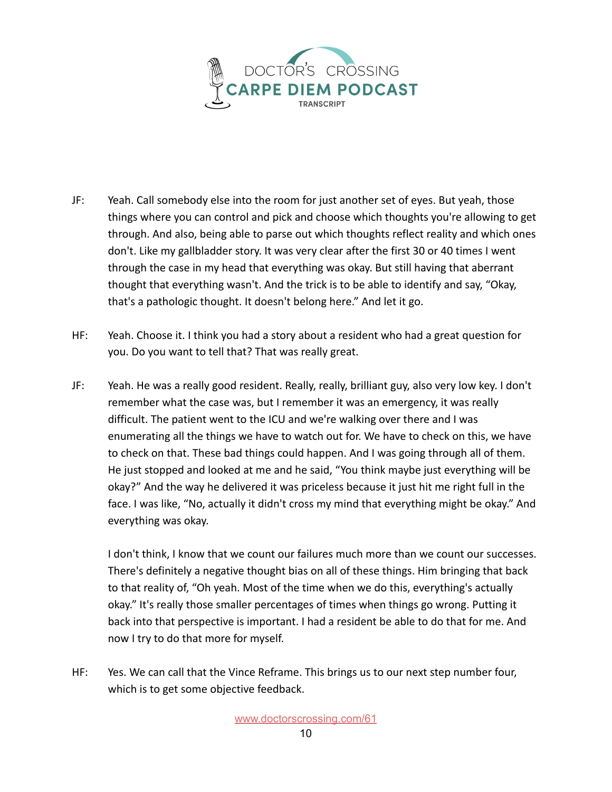

- JF: Yeah. Call somebody else into the room for just another set of eyes. But yeah, those things where you can control and pick and choose which thoughts you're allowing to get through. And also, being able to parse out which thoughts reflect reality and which ones don't. Like my gallbladder story. It was very clear after the first 30 or 40 times I went through the case in my head that everything was okay. But still having that aberrant thought that everything wasn't. And the trick is to be able to identify and say, "Okay, that's a pathologic thought. It doesn't belong here." And let it go.
- HF: Yeah. Choose it. I think you had a story about a resident who had a great question for you. Do you want to tell that? That was really great.
- JF: Yeah. He was a really good resident. Really, really, brilliant guy, also very low key. I don't remember what the case was, but I remember it was an emergency, it was really difficult. The patient went to the ICU and we're walking over there and I was enumerating all the things we have to watch out for. We have to check on this, we have to check on that. These bad things could happen. And I was going through all of them. He just stopped and looked at me and he said, "You think maybe just everything will be okay?" And the way he delivered it was priceless because it just hit me right full in the face. I was like, "No, actually it didn't cross my mind that everything might be okay." And everything was okay.

I don't think, I know that we count our failures much more than we count our successes. There's definitely a negative thought bias on all of these things. Him bringing that back to that reality of, "Oh yeah. Most of the time when we do this, everything's actually okay." It's really those smaller percentages of times when things go wrong. Putting it back into that perspective is important. I had a resident be able to do that for me. And now I try to do that more for myself.

HF: Yes. We can call that the Vince Reframe. This brings us to our next step number four, which is to get some objective feedback.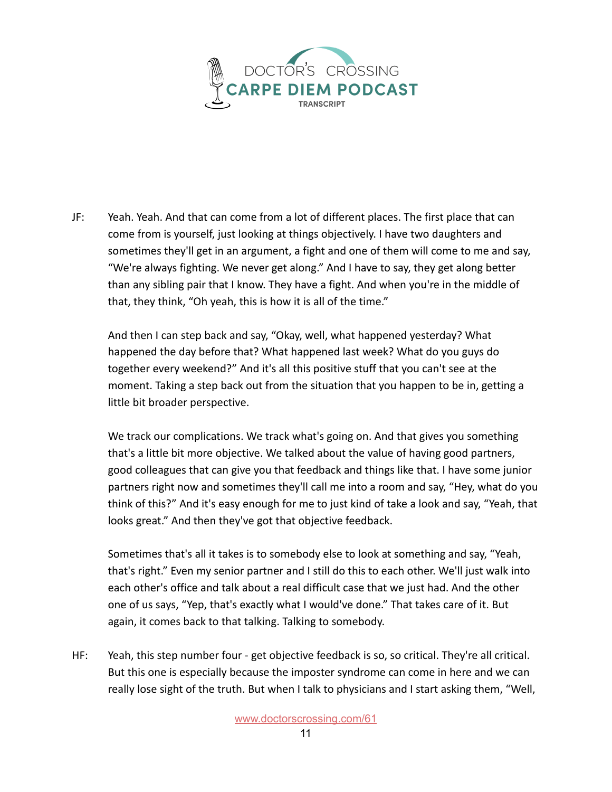

JF: Yeah. Yeah. And that can come from a lot of different places. The first place that can come from is yourself, just looking at things objectively. I have two daughters and sometimes they'll get in an argument, a fight and one of them will come to me and say, "We're always fighting. We never get along." And I have to say, they get along better than any sibling pair that I know. They have a fight. And when you're in the middle of that, they think, "Oh yeah, this is how it is all of the time."

And then I can step back and say, "Okay, well, what happened yesterday? What happened the day before that? What happened last week? What do you guys do together every weekend?" And it's all this positive stuff that you can't see at the moment. Taking a step back out from the situation that you happen to be in, getting a little bit broader perspective.

We track our complications. We track what's going on. And that gives you something that's a little bit more objective. We talked about the value of having good partners, good colleagues that can give you that feedback and things like that. I have some junior partners right now and sometimes they'll call me into a room and say, "Hey, what do you think of this?" And it's easy enough for me to just kind of take a look and say, "Yeah, that looks great." And then they've got that objective feedback.

Sometimes that's all it takes is to somebody else to look at something and say, "Yeah, that's right." Even my senior partner and I still do this to each other. We'll just walk into each other's office and talk about a real difficult case that we just had. And the other one of us says, "Yep, that's exactly what I would've done." That takes care of it. But again, it comes back to that talking. Talking to somebody.

HF: Yeah, this step number four - get objective feedback is so, so critical. They're all critical. But this one is especially because the imposter syndrome can come in here and we can really lose sight of the truth. But when I talk to physicians and I start asking them, "Well,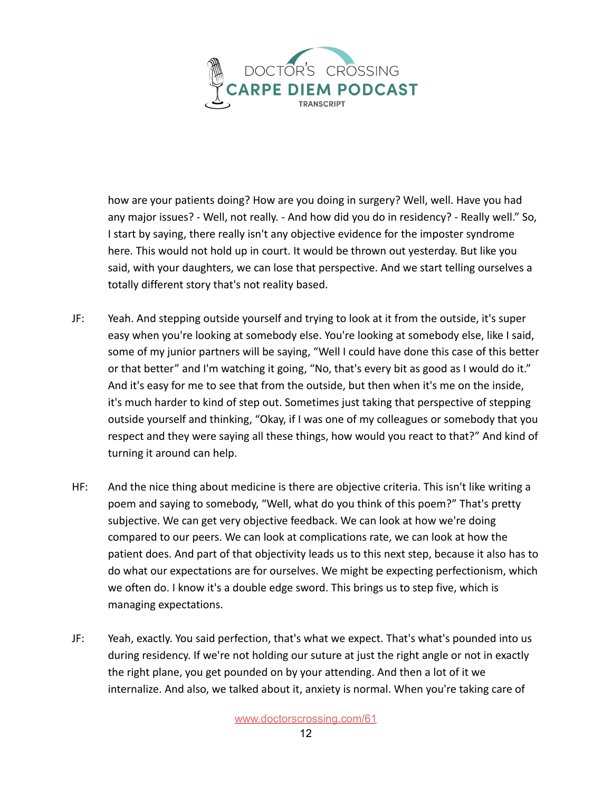

how are your patients doing? How are you doing in surgery? Well, well. Have you had any major issues? - Well, not really. - And how did you do in residency? - Really well." So, I start by saying, there really isn't any objective evidence for the imposter syndrome here. This would not hold up in court. It would be thrown out yesterday. But like you said, with your daughters, we can lose that perspective. And we start telling ourselves a totally different story that's not reality based.

- JF: Yeah. And stepping outside yourself and trying to look at it from the outside, it's super easy when you're looking at somebody else. You're looking at somebody else, like I said, some of my junior partners will be saying, "Well I could have done this case of this better or that better" and I'm watching it going, "No, that's every bit as good as I would do it." And it's easy for me to see that from the outside, but then when it's me on the inside, it's much harder to kind of step out. Sometimes just taking that perspective of stepping outside yourself and thinking, "Okay, if I was one of my colleagues or somebody that you respect and they were saying all these things, how would you react to that?" And kind of turning it around can help.
- HF: And the nice thing about medicine is there are objective criteria. This isn't like writing a poem and saying to somebody, "Well, what do you think of this poem?" That's pretty subjective. We can get very objective feedback. We can look at how we're doing compared to our peers. We can look at complications rate, we can look at how the patient does. And part of that objectivity leads us to this next step, because it also has to do what our expectations are for ourselves. We might be expecting perfectionism, which we often do. I know it's a double edge sword. This brings us to step five, which is managing expectations.
- JF: Yeah, exactly. You said perfection, that's what we expect. That's what's pounded into us during residency. If we're not holding our suture at just the right angle or not in exactly the right plane, you get pounded on by your attending. And then a lot of it we internalize. And also, we talked about it, anxiety is normal. When you're taking care of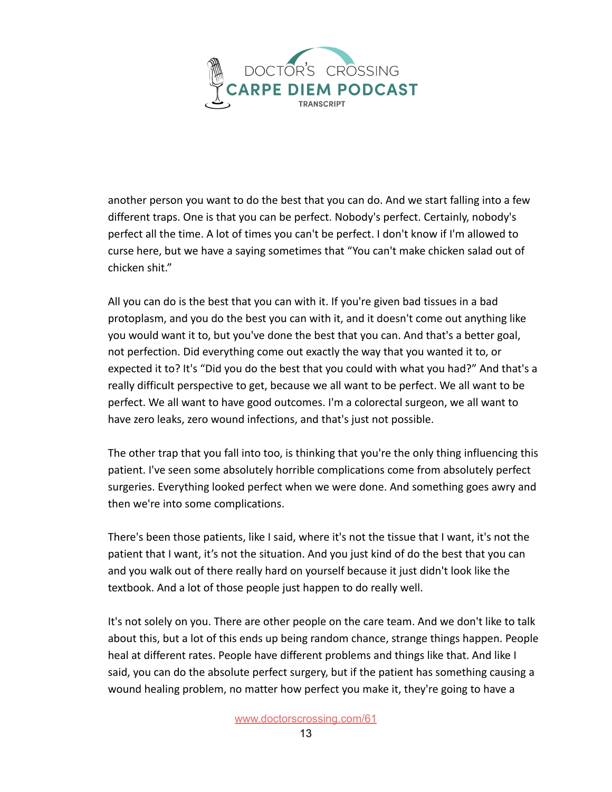

another person you want to do the best that you can do. And we start falling into a few different traps. One is that you can be perfect. Nobody's perfect. Certainly, nobody's perfect all the time. A lot of times you can't be perfect. I don't know if I'm allowed to curse here, but we have a saying sometimes that "You can't make chicken salad out of chicken shit."

All you can do is the best that you can with it. If you're given bad tissues in a bad protoplasm, and you do the best you can with it, and it doesn't come out anything like you would want it to, but you've done the best that you can. And that's a better goal, not perfection. Did everything come out exactly the way that you wanted it to, or expected it to? It's "Did you do the best that you could with what you had?" And that's a really difficult perspective to get, because we all want to be perfect. We all want to be perfect. We all want to have good outcomes. I'm a colorectal surgeon, we all want to have zero leaks, zero wound infections, and that's just not possible.

The other trap that you fall into too, is thinking that you're the only thing influencing this patient. I've seen some absolutely horrible complications come from absolutely perfect surgeries. Everything looked perfect when we were done. And something goes awry and then we're into some complications.

There's been those patients, like I said, where it's not the tissue that I want, it's not the patient that I want, it's not the situation. And you just kind of do the best that you can and you walk out of there really hard on yourself because it just didn't look like the textbook. And a lot of those people just happen to do really well.

It's not solely on you. There are other people on the care team. And we don't like to talk about this, but a lot of this ends up being random chance, strange things happen. People heal at different rates. People have different problems and things like that. And like I said, you can do the absolute perfect surgery, but if the patient has something causing a wound healing problem, no matter how perfect you make it, they're going to have a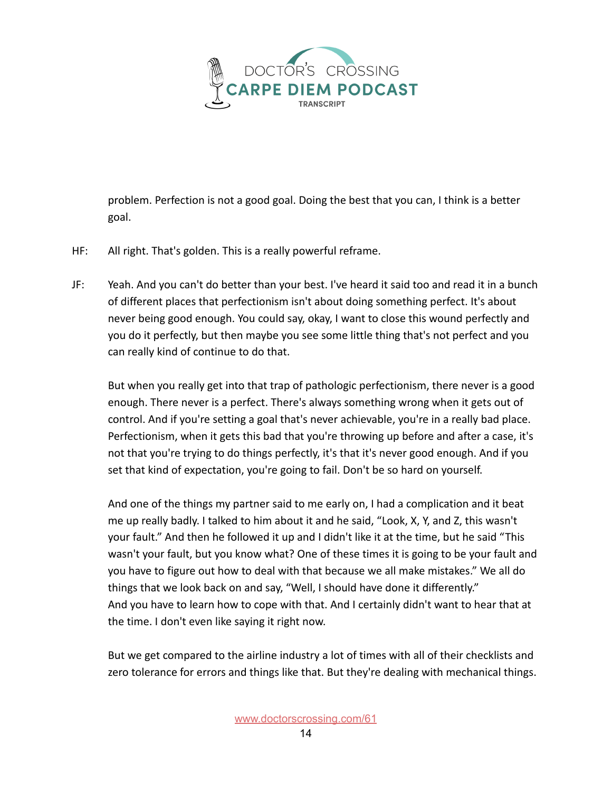

problem. Perfection is not a good goal. Doing the best that you can, I think is a better goal.

- HF: All right. That's golden. This is a really powerful reframe.
- JF: Yeah. And you can't do better than your best. I've heard it said too and read it in a bunch of different places that perfectionism isn't about doing something perfect. It's about never being good enough. You could say, okay, I want to close this wound perfectly and you do it perfectly, but then maybe you see some little thing that's not perfect and you can really kind of continue to do that.

But when you really get into that trap of pathologic perfectionism, there never is a good enough. There never is a perfect. There's always something wrong when it gets out of control. And if you're setting a goal that's never achievable, you're in a really bad place. Perfectionism, when it gets this bad that you're throwing up before and after a case, it's not that you're trying to do things perfectly, it's that it's never good enough. And if you set that kind of expectation, you're going to fail. Don't be so hard on yourself.

And one of the things my partner said to me early on, I had a complication and it beat me up really badly. I talked to him about it and he said, "Look, X, Y, and Z, this wasn't your fault." And then he followed it up and I didn't like it at the time, but he said "This wasn't your fault, but you know what? One of these times it is going to be your fault and you have to figure out how to deal with that because we all make mistakes." We all do things that we look back on and say, "Well, I should have done it differently." And you have to learn how to cope with that. And I certainly didn't want to hear that at the time. I don't even like saying it right now.

But we get compared to the airline industry a lot of times with all of their checklists and zero tolerance for errors and things like that. But they're dealing with mechanical things.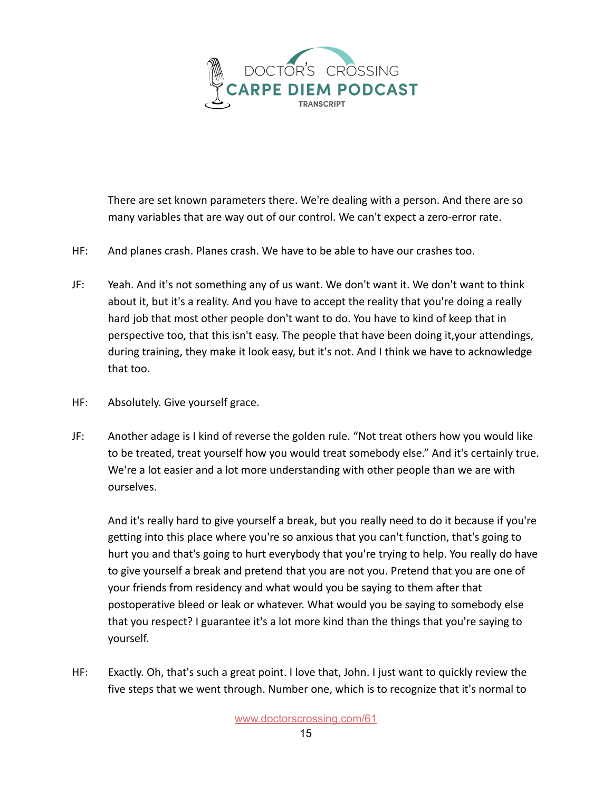

There are set known parameters there. We're dealing with a person. And there are so many variables that are way out of our control. We can't expect a zero-error rate.

- HF: And planes crash. Planes crash. We have to be able to have our crashes too.
- JF: Yeah. And it's not something any of us want. We don't want it. We don't want to think about it, but it's a reality. And you have to accept the reality that you're doing a really hard job that most other people don't want to do. You have to kind of keep that in perspective too, that this isn't easy. The people that have been doing it,your attendings, during training, they make it look easy, but it's not. And I think we have to acknowledge that too.
- HF: Absolutely. Give yourself grace.
- JF: Another adage is I kind of reverse the golden rule. "Not treat others how you would like to be treated, treat yourself how you would treat somebody else." And it's certainly true. We're a lot easier and a lot more understanding with other people than we are with ourselves.

And it's really hard to give yourself a break, but you really need to do it because if you're getting into this place where you're so anxious that you can't function, that's going to hurt you and that's going to hurt everybody that you're trying to help. You really do have to give yourself a break and pretend that you are not you. Pretend that you are one of your friends from residency and what would you be saying to them after that postoperative bleed or leak or whatever. What would you be saying to somebody else that you respect? I guarantee it's a lot more kind than the things that you're saying to yourself.

HF: Exactly. Oh, that's such a great point. I love that, John. I just want to quickly review the five steps that we went through. Number one, which is to recognize that it's normal to